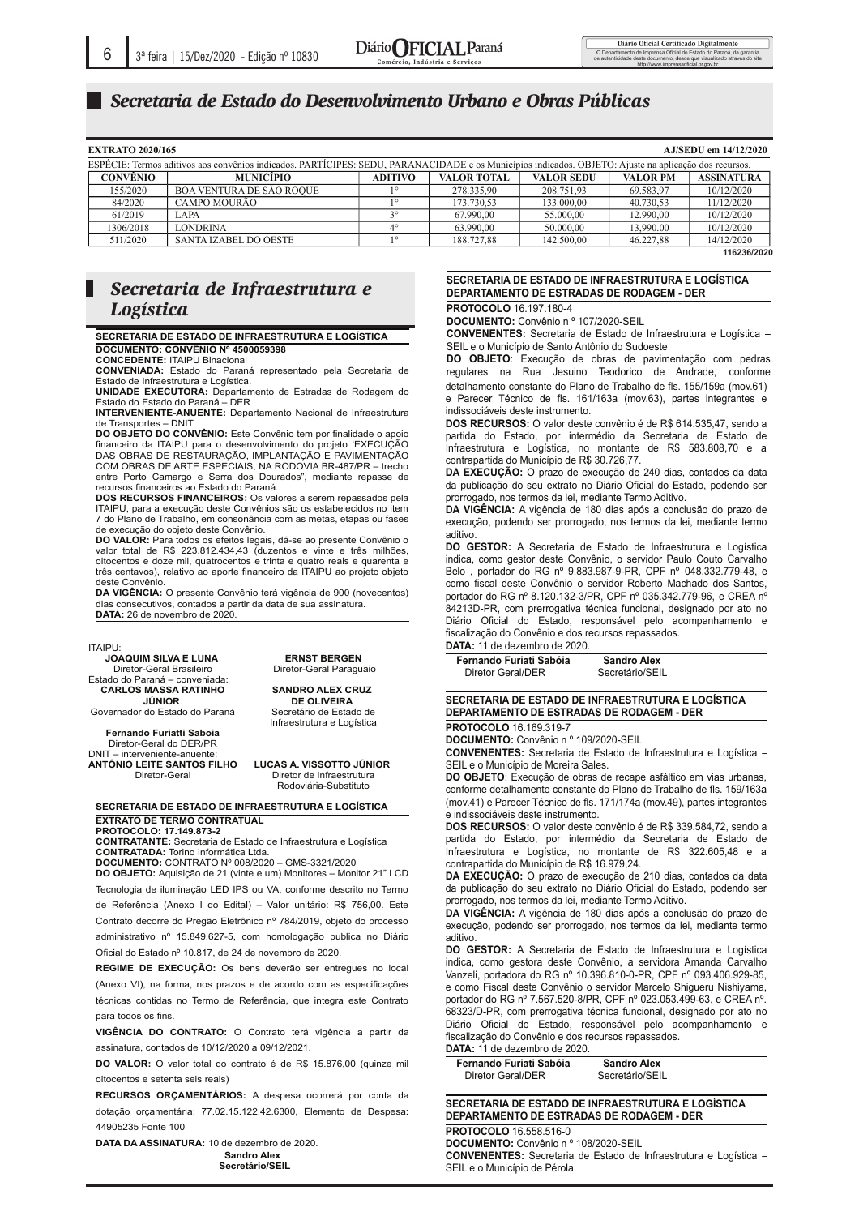#### $S$ ecretaria de Estado do Desenvolvimento Urbano e Obras Públicas 0 BI7B@7@I@I

| <b>EXTRATO 2020/165</b><br>AJ/SEDU em 14/12/2020                                                                                                      |                                 |                |                    |                   |                 |                   |
|-------------------------------------------------------------------------------------------------------------------------------------------------------|---------------------------------|----------------|--------------------|-------------------|-----------------|-------------------|
| ESPÉCIE: Termos aditivos aos convênios indicados. PARTÍCIPES: SEDU, PARANACIDADE e os Municípios indicados. OBJETO: Ajuste na aplicação dos recursos. |                                 |                |                    |                   |                 |                   |
| <b>CONVÊNIO</b>                                                                                                                                       | <b>MUNICÍPIO</b>                | <b>ADITIVO</b> | <b>VALOR TOTAL</b> | <b>VALOR SEDU</b> | <b>VALOR PM</b> | <b>ASSINATURA</b> |
| 155/2020                                                                                                                                              | <b>BOA VENTURA DE SÃO ROOUE</b> |                | 278.335.90         | 208.751.93        | 69.583,97       | 10/12/2020        |
| 84/2020                                                                                                                                               | CAMPO MOURÃO                    | 10             | 173.730.53         | 133,000,00        | 40.730,53       | 11/12/2020        |
| 61/2019                                                                                                                                               | LAPA                            | 20             | 67.990.00          | 55.000,00         | 12.990.00       | 10/12/2020        |
| 1306/2018                                                                                                                                             | <b>LONDRINA</b>                 | $4^{\circ}$    | 63.990.00          | 50.000,00         | 13,990.00       | 10/12/2020        |
| 511/2020                                                                                                                                              | SANTA IZABEL DO OESTE           | 10             | 188.727.88         | 142.500,00        | 46.227.88       | 14/12/2020        |
|                                                                                                                                                       |                                 |                |                    |                   |                 | 116236/2020       |

## *Secretaria de Infraestrutura e Logística*

SECRETARIA DE ESTADO DE INFRAESTRUTURA E LOGÍSTICA DOCUMENTO: CONVÊNIO Nº 4500059398

**CONCEDENTE: ITAIPU Binacional** 

**CONVENIADA:** Estado do Paraná representado pela Secretaria de<br>Estado de Infraestrutura e Logística.

UNIDADE EXECUTORA: Departamento de Estradas de Rodagem do<br>Estado do Estado do Paraná – DER

**INTERVENIENTE-ANUENTE:** Departamento Nacional de Infraestrutura de Transportes - DNIT

**DO OBJETO DO CONVÊNIO:** Este Convênio tem por finalidade o apoio financeiro da ITAIPU para o desenvolvimento do projeto 'EXECUÇÃO<br>DAS OBRAS DE RESTAURAÇÃO, IMPLANTAÇÃO E PAVIMENTAÇÃO COM OBRAS DE ARTE ESPECIAIS, NA RODOVIA BR-487/PR - trecho entre Porto Camargo e Serra dos Dourados", mediante repasse de<br>recursos financeiros ao Estado do Paraná.

DOS RECURSOS FINANCEIROS: Os valores a serem repassados pela ITAIPU, para a execução deste Convênios são os estabelecidos no item 7 do Plano de Trabalho, em consonância com as metas, etapas ou fases de execução do objeto deste Convênio.<br>**DO VALOR:** Para todos os efeitos legais, dá-se ao presente Convênio o

valor total de R\$ 223.812.434,43 (duzentos e vinte e três milhões, oitocentos e doze mil, quatrocentos e trinta e quatro reais e quarenta e<br>três centavos), relativo ao aporte financeiro da ITAIPU ao projeto objeto doete Convênie

DA VIGÊNCIA: O presente Convênio terá vigência de 900 (novecentos) dias consecutivos, contados a partir da data de sua assinatura. DATA: 26 de novembro de 2020.

#### ITAIPU:

**--**

 **--The Contract of the Contract of the Contract of the Contract of the Contract of the Contract of the Contract of the Contract of the Contract of the Contract of the Contract of the Contract of the Contract of the Contract -**

**JOAQUIM SILVA E LUNA** Diretor-Geral Brasileiro Estado do Paraná - conveniada: **CARLOS MASSA RATINHO JÚNIOR** 

Governador do Estado do Paraná

Fernando Furiatti Saboia Diretor-Geral do DER/PR<br>T – interveniente-anuente: DNIT ANTÔNIO LEITE SANTOS FILHO Diretor-Geral

**ERNST BERGEN** Diretor-Geral Paraguaio

**SANDRO ALEX CRUZ DE OLIVEIRA** Secretário de Estado de

Infraestrutura e Logística

LUCAS A. VISSOTTO JÚNIOR Diretor de Infraestrutura Rodoviária-Substituto

### SECRETARIA DE ESTADO DE INFRAESTRUTURA E LOGÍSTICA **EXTRATO DE TERMO CONTRATUAL**

**PROTOCOLO: 17.149.873-2 CONTRATANTE:** Secretaria de Estado de Infraestrutura e Logística

CONTRATADA: Torino Informática Ltda. **DOCUMENTO: CONTRATO Nº 008/2020 - GMS-3321/2020** 

**DO OBJETO:** Aquisição de 21 (vinte e um) Monitores - Monitor 21" LCD Tecnologia de iluminação LED IPS ou VA, conforme descrito no Termo

de Referência (Anexo I do Edital) – Valor unitário: R\$ 756,00. Este Contrato decorre do Pregão Eletrônico nº 784/2019, objeto do processo administrativo nº 15.849.627-5, com homologação publica no Diário Oficial do Estado nº 10.817, de 24 de novembro de 2020.

**REGIME DE EXECUÇÃO:** Os bens deverão ser entregues no local (Anexo VI), na forma, nos prazos e de acordo com as especificações técnicas contidas no Termo de Referência, que integra este Contrato para todos os fins.

**VIGÊNCIA DO CONTRATO:** O Contrato terá vigência a partir da assinatura, contados de 10/12/2020 a 09/12/2021.

**DO VALOR:** O valor total do contrato é de R\$ 15.876,00 (quinze mil oitocentos e setenta seis reais)

**RECURSOS ORÇAMENTÁRIOS:** A despesa ocorrerá por conta da dotação orçamentária: 77.02.15.122.42.6300, Elemento de Despesa: 44905235 Fonte 100

**DATA DA ASSINATURA: 10 de dezembro de 2020.** Sandro Alex

**Becretário/SEIL -**

**-**

— <u> The Communication of the Communication of</u>

## SECRETARIA DE ESTADO DE INFRAESTRUTURA E LOGISTICA DEPARTAMENTO DE ESTRADAS DE RODAGEM - DER

**PROTOCOLO** 16.197.180-4

**DOCUMENTO:** Convênio n º 107/2020-SEIL

0 

**CONVENENTES:** Secretaria de Estado de Infraestrutura e Logística -SEIL e o Município de Santo Antônio do Sudoeste

detalhamento constante do Plano de Trabalho de fls. 155/159a (mov.61) e Parecer Técnico de fls. 161/163a (mov.63), partes integrantes e indissociáveis deste instrumento. DO OBJETO: Execução de obras de pavimentação com pedras regulares na Rua Jesuino Teodorico de Andrade, conforme

**DOS RECURSOS:** O valor deste convênio é de R\$ 614.535,47, sendo a partida do Estado, por intermédio da Secretaria de Estado de Infraestrutura e Logística, no montante de R\$ 583.808,70 e a contrapartida do Município de R\$ 30.726,77.

**DA EXECUÇAO:** O prazo de execução de 240 dias, contados da data da publicação do seu extrato no Diário Oficial do Estado, podendo ser prorrogado, nos termos da lei, mediante Termo Aditivo.

DA VIGÊNCIA: A vigência de 180 dias após a conclusão do prazo de execução, podendo ser prorrogado, nos termos da lei, mediante termo aditivo.

**DO GESTOR:** A Secretaria de Estado de Infraestrutura e Logística indica, como gestor deste Convênio, o servidor Paulo Couto Carvalho Belo, portador do RG nº 9.883.987-9-PR, CPF nº 048.332.779-48, e como fiscal deste Convênio o servidor Roberto Machado dos Santos, portador do RG nº 8.120.132-3/PR, CPF nº 035.342.779-96, e CREA nº 84213D-PR, com prerrogativa técnica funcional, designado por ato no Diário Oficial do Estado, responsável pelo acompanhamento e fiscalização do Convênio e dos recursos repassados.

## **DATA:** 11 de dezembro de 2020

Fernando Furiati Sabóia **Sandro Alex** Diretor Geral/DER I/DER Secretário/SEIL

## SECRETARIA DE ESTADO DE INFRAESTRUTURA E LOGÍSTICA DEPARTAMENTO DE ESTRADAS DE RODAGEM - DER

**PROTOCOLO** 16.169.319-7

**DOCUMENTO:** Convênio n º 109/2020-SEIL **CONVENENTES:** Secretaria de Estado de Infraestrutura e Logística -

SEIL e o Município de Moreira Sales. **DO OBJETO**: Execução de obras de recape asfáltico em vias urbanas, conforme detalhamento constante do Plano de Trabalho de fls. 159/163a

(mov.41) e Parecer Técnico de fls. 171/174a (mov.49), partes integrantes e indissociáveis deste instrumento.

**DOS RECURSOS:** O valor deste convênio é de R\$ 339.584,72, sendo a partida do Estado, por intermédio da Secretaria de Estado de Infraestrutura e Logística, no montante de R\$ 322.605,48 e a contrapartida do Município de R\$ 16.979,24.

**DA EXECUÇAO:** O prazo de execução de 210 dias, contados da data da publicação do seu extrato no Diário Oficial do Estado, podendo ser prorrogado, nos termos da lei, mediante Termo Aditivo.

DA VIGÊNCIA: A vigência de 180 dias após a conclusão do prazo de execução, podendo ser prorrogado, nos termos da lei, mediante termo aditivo.

**DO GESTOR:** A Secretaria de Estado de Infraestrutura e Logística indica, como gestora deste Convênio, a servidora Amanda Carvalho Vanzeli, portadora do RG nº 10.396.810-0-PR, CPF nº 093.406.929-85, e como Fiscal deste Convênio o servidor Marcelo Shigueru Nishiyama, portador do RG nº 7.567.520-8/PR, CPF nº 023.053.499-63, e CREA nº. 68323/D-PR, com prerrogativa técnica funcional, designado por ato no Diário Oficial do Estado, responsável pelo acompanhamento e fiscalização do Convênio e dos recursos repassados.

**DATA:** 11 de dezembro de 2020.

Fernando Furiati Sabóia **Brandades** Sandro Alex Diretor Geral/DER I/DER Secretário/SEIL

SECRETARIA DE ESTADO DE INFRAESTRUTURA E LOGÍSTICA DEPARTAMENTO DE ESTRADAS DE RODAGEM - DER

**PROTOCOLO** 16.558.516-0

 **!-***<u>*</u>

**DOCUMENTO:** Convênio n º 108/2020-SEIL **CONVENENTES:** Secretaria de Estado de Infraestrutura e Logística -SEIL e o Município de Pérola.  $\overline{\phantom{a}}$ 

 $\overline{\phantom{a}}$ 

;<  $\overline{\phantom{0}}$ 

 $\overline{\phantom{0}}$  $\overline{\phantom{a}}$